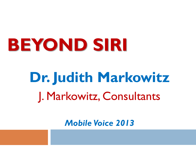## **BEYOND SIRI**

## **Dr. Judith Markowitz** J. Markowitz, Consultants

*Mobile Voice 2013*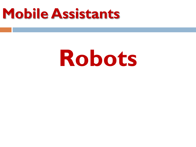## **Mobile Assistants**

## **Robots**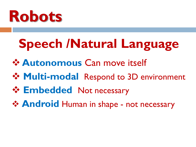

## **Speech /Natural Language**

- **Autonomous** Can move itself
- **\*** Multi-modal Respond to 3D environment
- **Embedded Not necessary**
- **Android** Human in shape not necessary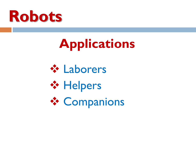

## **Applications**





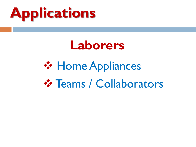

#### **Laborers**

## **❖ Home Appliances ☆ Teams / Collaborators**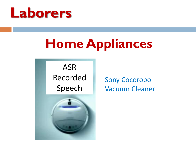

### **Home Appliances**

ASR Recorded Speech



Sony Cocorobo Vacuum Cleaner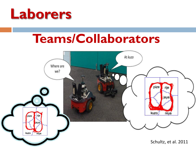

#### **Teams/Collaborators**

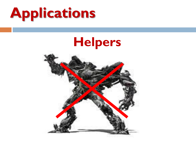

### **Helpers**

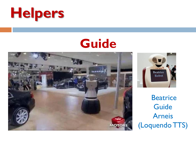

#### **Guide**





**Beatrice Guide** Arneis (LoquendoTTS)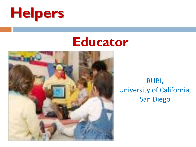

#### **Educator**



RUBI, University of California, San Diego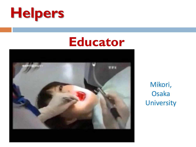

#### **Educator**



Mikori, Osaka **University**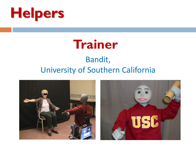



#### Bandit, University of Southern California

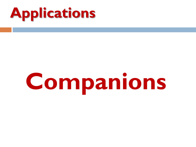

# **Companions**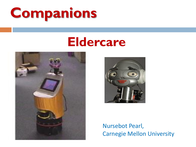## **Companions**

#### **Eldercare**





#### Nursebot Pearl, Carnegie Mellon University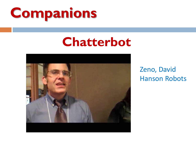

#### **Chatterbot**



Zeno, David Hanson Robots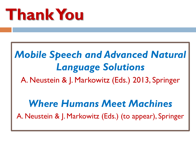## **Thank You**

#### *Mobile Speech and Advanced Natural Language Solutions* A. Neustein & J. Markowitz (Eds.) 2013, Springer

#### *Where Humans Meet Machines*

A. Neustein & J. Markowitz (Eds.) (to appear), Springer